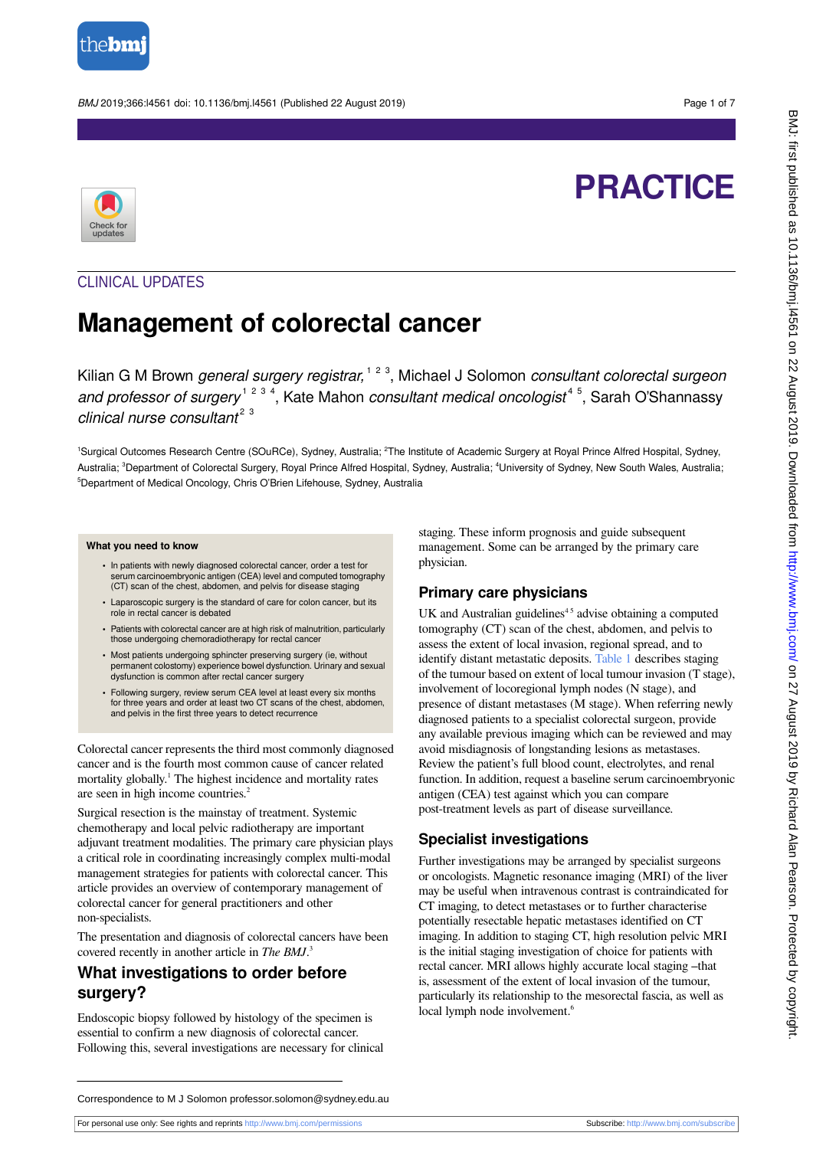

BMJ 2019;366:l4561 doi: 10.1136/bmj.l4561 (Published 22 August 2019) Page 1 of 7

# **PRACTICE**



## CLINICAL UPDATES

## **Management of colorectal cancer**

Kilian G M Brown general surgery registrar, <sup>1 2 3</sup>, Michael J Solomon consultant colorectal surgeon and professor of surgery<sup>1234</sup>, Kate Mahon consultant medical oncologist<sup>45</sup>, Sarah O'Shannassy clinical nurse consultant<sup>23</sup>

<sup>1</sup>Surgical Outcomes Research Centre (SOuRCe), Sydney, Australia; <sup>2</sup>The Institute of Academic Surgery at Royal Prince Alfred Hospital, Sydney, Australia; <sup>3</sup>Department of Colorectal Surgery, Royal Prince Alfred Hospital, Sydney, Australia; <sup>4</sup>University of Sydney, New South Wales, Australia; <sup>5</sup>Department of Medical Oncology, Chris O'Brien Lifehouse, Sydney, Australia

#### **What you need to know**

- **•** In patients with newly diagnosed colorectal cancer, order a test for serum carcinoembryonic antigen (CEA) level and computed tomography (CT) scan of the chest, abdomen, and pelvis for disease staging
- **•** Laparoscopic surgery is the standard of care for colon cancer, but its role in rectal cancer is debated
- **•** Patients with colorectal cancer are at high risk of malnutrition, particularly those undergoing chemoradiotherapy for rectal cancer
- **•** Most patients undergoing sphincter preserving surgery (ie, without permanent colostomy) experience bowel dysfunction. Urinary and sexual dysfunction is common after rectal cancer surgery
- **•** Following surgery, review serum CEA level at least every six months for three years and order at least two CT scans of the chest, abdomen, and pelvis in the first three years to detect recurrence

Colorectal cancer represents the third most commonly diagnosed cancer and is the fourth most common cause of cancer related mortality globally.<sup>1</sup> The highest incidence and mortality rates are seen in high income countries.<sup>2</sup>

Surgical resection is the mainstay of treatment. Systemic chemotherapy and local pelvic radiotherapy are important adjuvant treatment modalities. The primary care physician plays a critical role in coordinating increasingly complex multi-modal management strategies for patients with colorectal cancer. This article provides an overview of contemporary management of colorectal cancer for general practitioners and other non-specialists.

The presentation and diagnosis of colorectal cancers have been covered recently in another article in *The BMJ*. 3

#### **What investigations to order before surgery?**

Endoscopic biopsy followed by histology of the specimen is essential to confirm a new diagnosis of colorectal cancer. Following this, several investigations are necessary for clinical staging. These inform prognosis and guide subsequent management. Some can be arranged by the primary care physician.

#### **Primary care physicians**

UK and Australian guidelines $45$  advise obtaining a computed tomography (CT) scan of the chest, abdomen, and pelvis to assess the extent of local invasion, regional spread, and to identify distant metastatic deposits. [Table 1](#page-5-0) describes staging of the tumour based on extent of local tumour invasion (T stage), involvement of locoregional lymph nodes (N stage), and presence of distant metastases (M stage). When referring newly diagnosed patients to a specialist colorectal surgeon, provide any available previous imaging which can be reviewed and may avoid misdiagnosis of longstanding lesions as metastases. Review the patient's full blood count, electrolytes, and renal function. In addition, request a baseline serum carcinoembryonic antigen (CEA) test against which you can compare post-treatment levels as part of disease surveillance.

#### **Specialist investigations**

Further investigations may be arranged by specialist surgeons or oncologists. Magnetic resonance imaging (MRI) of the liver may be useful when intravenous contrast is contraindicated for CT imaging, to detect metastases or to further characterise potentially resectable hepatic metastases identified on CT imaging. In addition to staging CT, high resolution pelvic MRI is the initial staging investigation of choice for patients with rectal cancer. MRI allows highly accurate local staging –that is, assessment of the extent of local invasion of the tumour, particularly its relationship to the mesorectal fascia, as well as local lymph node involvement.<sup>6</sup>

Correspondence to M J Solomon professor.solomon@sydney.edu.au

For personal use only: See rights and reprints<http://www.bmj.com/permissions> Subscribe: <http://www.bmj.com/subscribe>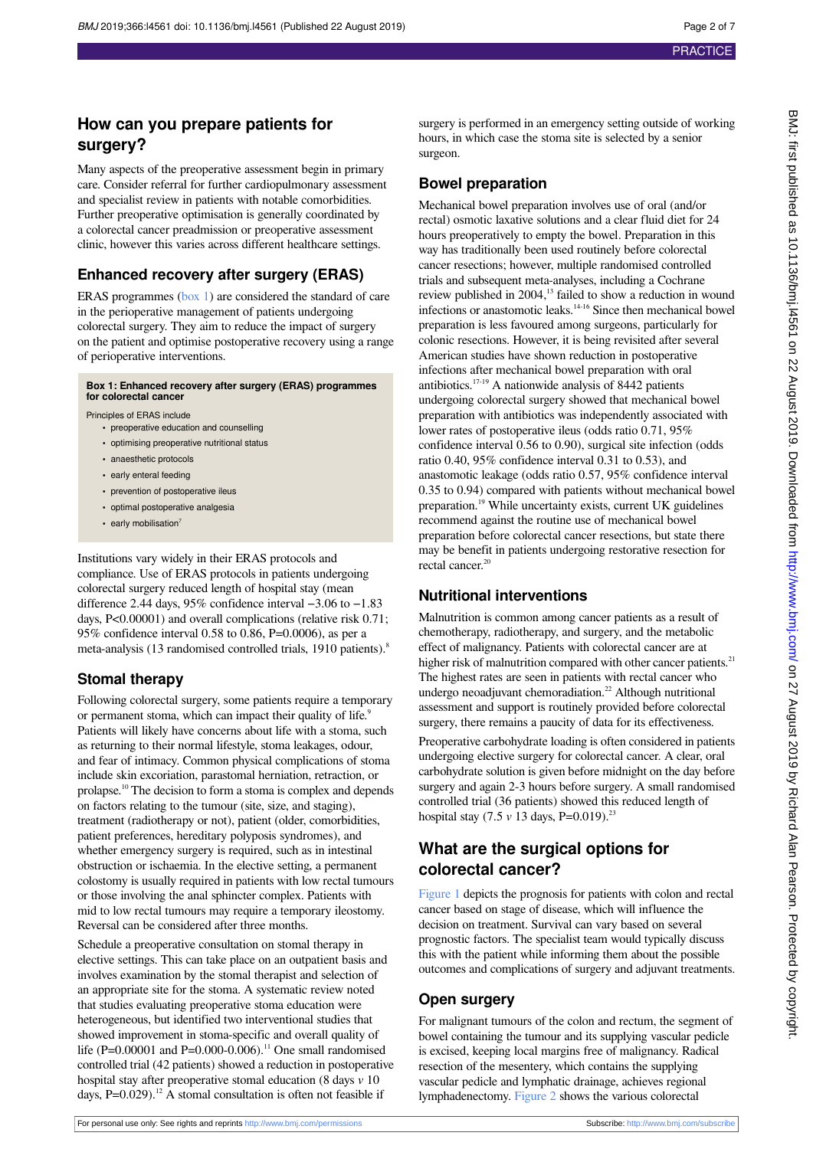**How can you prepare patients for**

Many aspects of the preoperative assessment begin in primary care. Consider referral for further cardiopulmonary assessment

**surgery?**

#### and specialist review in patients with notable comorbidities. Further preoperative optimisation is generally coordinated by a colorectal cancer preadmission or preoperative assessment clinic, however this varies across different healthcare settings. **Enhanced recovery after surgery (ERAS)** ERAS programmes ([box 1](#page-1-0)) are considered the standard of care in the perioperative management of patients undergoing colorectal surgery. They aim to reduce the impact of surgery on the patient and optimise postoperative recovery using a range of perioperative interventions. **Box 1: Enhanced recovery after surgery (ERAS) programmes for colorectal cancer** Principles of ERAS include

- <span id="page-1-0"></span>**•** preoperative education and counselling
- **•** optimising preoperative nutritional status
- **•** anaesthetic protocols
- **•** early enteral feeding
- prevention of postoperative ileus
- **•** optimal postoperative analgesia
- early mobilisation<sup>7</sup>

Institutions vary widely in their ERAS protocols and compliance. Use of ERAS protocols in patients undergoing colorectal surgery reduced length of hospital stay (mean difference 2.44 days, 95% confidence interval −3.06 to −1.83 days, P<0.00001) and overall complications (relative risk 0.71; 95% confidence interval 0.58 to 0.86, P=0.0006), as per a meta-analysis (13 randomised controlled trials, 1910 patients).<sup>8</sup>

## **Stomal therapy**

Following colorectal surgery, some patients require a temporary or permanent stoma, which can impact their quality of life.<sup>9</sup> Patients will likely have concerns about life with a stoma, such as returning to their normal lifestyle, stoma leakages, odour, and fear of intimacy. Common physical complications of stoma include skin excoriation, parastomal herniation, retraction, or prolapse.<sup>10</sup> The decision to form a stoma is complex and depends on factors relating to the tumour (site, size, and staging), treatment (radiotherapy or not), patient (older, comorbidities, patient preferences, hereditary polyposis syndromes), and whether emergency surgery is required, such as in intestinal obstruction or ischaemia. In the elective setting, a permanent colostomy is usually required in patients with low rectal tumours or those involving the anal sphincter complex. Patients with mid to low rectal tumours may require a temporary ileostomy. Reversal can be considered after three months.

Schedule a preoperative consultation on stomal therapy in elective settings. This can take place on an outpatient basis and involves examination by the stomal therapist and selection of an appropriate site for the stoma. A systematic review noted that studies evaluating preoperative stoma education were heterogeneous, but identified two interventional studies that showed improvement in stoma-specific and overall quality of life (P=0.00001 and P=0.000-0.006).<sup>11</sup> One small randomised controlled trial (42 patients) showed a reduction in postoperative hospital stay after preoperative stomal education (8 days *v* 10 days,  $P=0.029$ .<sup>12</sup> A stomal consultation is often not feasible if

surgery is performed in an emergency setting outside of working hours, in which case the stoma site is selected by a senior surgeon.

## **Bowel preparation**

Mechanical bowel preparation involves use of oral (and/or rectal) osmotic laxative solutions and a clear fluid diet for 24 hours preoperatively to empty the bowel. Preparation in this way has traditionally been used routinely before colorectal cancer resections; however, multiple randomised controlled trials and subsequent meta-analyses, including a Cochrane review published in 2004,<sup>13</sup> failed to show a reduction in wound infections or anastomotic leaks.<sup>14-16</sup> Since then mechanical bowel preparation is less favoured among surgeons, particularly for colonic resections. However, it is being revisited after several American studies have shown reduction in postoperative infections after mechanical bowel preparation with oral antibiotics.<sup>17-19</sup> A nationwide analysis of 8442 patients undergoing colorectal surgery showed that mechanical bowel preparation with antibiotics was independently associated with lower rates of postoperative ileus (odds ratio 0.71, 95% confidence interval 0.56 to 0.90), surgical site infection (odds ratio 0.40, 95% confidence interval 0.31 to 0.53), and anastomotic leakage (odds ratio 0.57, 95% confidence interval 0.35 to 0.94) compared with patients without mechanical bowel preparation.<sup>19</sup> While uncertainty exists, current UK guidelines recommend against the routine use of mechanical bowel preparation before colorectal cancer resections, but state there may be benefit in patients undergoing restorative resection for rectal cancer.<sup>20</sup>

## **Nutritional interventions**

Malnutrition is common among cancer patients as a result of chemotherapy, radiotherapy, and surgery, and the metabolic effect of malignancy. Patients with colorectal cancer are at higher risk of malnutrition compared with other cancer patients.<sup>21</sup> The highest rates are seen in patients with rectal cancer who undergo neoadjuvant chemoradiation.<sup>22</sup> Although nutritional assessment and support is routinely provided before colorectal surgery, there remains a paucity of data for its effectiveness.

Preoperative carbohydrate loading is often considered in patients undergoing elective surgery for colorectal cancer. A clear, oral carbohydrate solution is given before midnight on the day before surgery and again 2-3 hours before surgery. A small randomised controlled trial (36 patients) showed this reduced length of hospital stay (7.5 *v* 13 days, P=0.019).<sup>23</sup>

## **What are the surgical options for colorectal cancer?**

[Figure 1](#page-6-0) depicts the prognosis for patients with colon and rectal cancer based on stage of disease, which will influence the decision on treatment. Survival can vary based on several prognostic factors. The specialist team would typically discuss this with the patient while informing them about the possible outcomes and complications of surgery and adjuvant treatments.

#### **Open surgery**

For malignant tumours of the colon and rectum, the segment of bowel containing the tumour and its supplying vascular pedicle is excised, keeping local margins free of malignancy. Radical resection of the mesentery, which contains the supplying vascular pedicle and lymphatic drainage, achieves regional lymphadenectomy. [Figure 2](#page-6-1) shows the various colorectal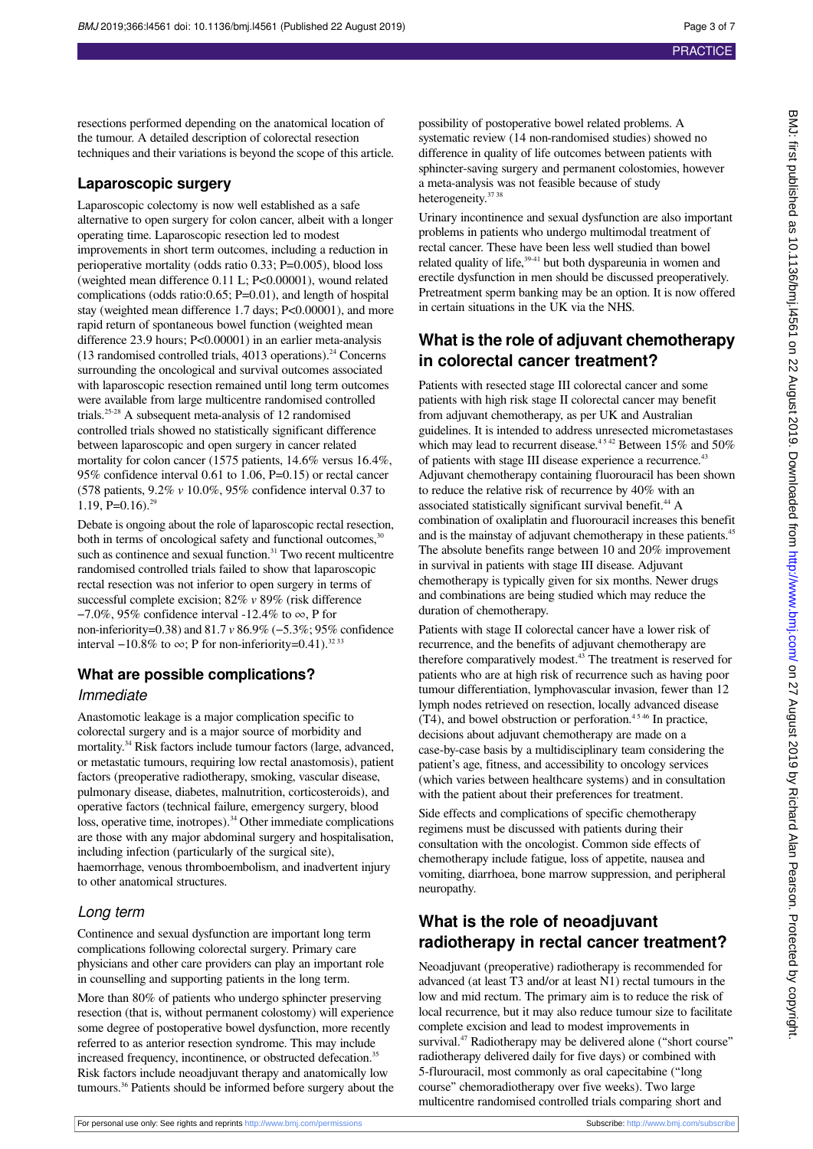resections performed depending on the anatomical location of the tumour. A detailed description of colorectal resection techniques and their variations is beyond the scope of this article.

#### **Laparoscopic surgery**

Laparoscopic colectomy is now well established as a safe alternative to open surgery for colon cancer, albeit with a longer operating time. Laparoscopic resection led to modest improvements in short term outcomes, including a reduction in perioperative mortality (odds ratio 0.33; P=0.005), blood loss (weighted mean difference 0.11 L; P<0.00001), wound related complications (odds ratio:0.65; P=0.01), and length of hospital stay (weighted mean difference 1.7 days; P<0.00001), and more rapid return of spontaneous bowel function (weighted mean difference 23.9 hours; P<0.00001) in an earlier meta-analysis  $(13$  randomised controlled trials, 4013 operations).<sup>24</sup> Concerns surrounding the oncological and survival outcomes associated with laparoscopic resection remained until long term outcomes were available from large multicentre randomised controlled trials.25-28 A subsequent meta-analysis of 12 randomised controlled trials showed no statistically significant difference between laparoscopic and open surgery in cancer related mortality for colon cancer (1575 patients, 14.6% versus 16.4%, 95% confidence interval 0.61 to 1.06, P=0.15) or rectal cancer (578 patients, 9.2% *v* 10.0%, 95% confidence interval 0.37 to 1.19, P= $0.16$ .<sup>29</sup>

Debate is ongoing about the role of laparoscopic rectal resection, both in terms of oncological safety and functional outcomes, $30$ such as continence and sexual function.<sup>31</sup> Two recent multicentre randomised controlled trials failed to show that laparoscopic rectal resection was not inferior to open surgery in terms of successful complete excision; 82% *v* 89% (risk difference  $-7.0\%$ , 95% confidence interval  $-12.4\%$  to  $\infty$ , P for non-inferiority=0.38) and 81.7 *v* 86.9% (−5.3%; 95% confidence interval  $-10.8\%$  to  $\infty$ ; P for non-inferiority=0.41).<sup>32 33</sup>

#### **What are possible complications?**

#### Immediate

Anastomotic leakage is a major complication specific to colorectal surgery and is a major source of morbidity and mortality.<sup>34</sup> Risk factors include tumour factors (large, advanced, or metastatic tumours, requiring low rectal anastomosis), patient factors (preoperative radiotherapy, smoking, vascular disease, pulmonary disease, diabetes, malnutrition, corticosteroids), and operative factors (technical failure, emergency surgery, blood loss, operative time, inotropes).<sup>34</sup> Other immediate complications are those with any major abdominal surgery and hospitalisation, including infection (particularly of the surgical site), haemorrhage, venous thromboembolism, and inadvertent injury to other anatomical structures.

#### Long term

Continence and sexual dysfunction are important long term complications following colorectal surgery. Primary care physicians and other care providers can play an important role in counselling and supporting patients in the long term.

More than 80% of patients who undergo sphincter preserving resection (that is, without permanent colostomy) will experience some degree of postoperative bowel dysfunction, more recently referred to as anterior resection syndrome. This may include increased frequency, incontinence, or obstructed defecation.<sup>35</sup> Risk factors include neoadjuvant therapy and anatomically low tumours.<sup>36</sup> Patients should be informed before surgery about the

possibility of postoperative bowel related problems. A systematic review (14 non-randomised studies) showed no difference in quality of life outcomes between patients with sphincter-saving surgery and permanent colostomies, however a meta-analysis was not feasible because of study heterogeneity.<sup>37</sup> 38</sup>

Urinary incontinence and sexual dysfunction are also important problems in patients who undergo multimodal treatment of rectal cancer. These have been less well studied than bowel related quality of life,<sup>39-41</sup> but both dyspareunia in women and erectile dysfunction in men should be discussed preoperatively. Pretreatment sperm banking may be an option. It is now offered in certain situations in the UK via the NHS.

## **What is the role of adjuvant chemotherapy in colorectal cancer treatment?**

Patients with resected stage III colorectal cancer and some patients with high risk stage II colorectal cancer may benefit from adjuvant chemotherapy, as per UK and Australian guidelines. It is intended to address unresected micrometastases which may lead to recurrent disease.<sup>4542</sup> Between 15% and 50% of patients with stage III disease experience a recurrence.<sup>43</sup> Adjuvant chemotherapy containing fluorouracil has been shown to reduce the relative risk of recurrence by 40% with an associated statistically significant survival benefit.<sup>44</sup> A combination of oxaliplatin and fluorouracil increases this benefit and is the mainstay of adjuvant chemotherapy in these patients.<sup>45</sup> The absolute benefits range between 10 and 20% improvement in survival in patients with stage III disease. Adjuvant chemotherapy is typically given for six months. Newer drugs and combinations are being studied which may reduce the duration of chemotherapy.

Patients with stage II colorectal cancer have a lower risk of recurrence, and the benefits of adjuvant chemotherapy are therefore comparatively modest.<sup>43</sup> The treatment is reserved for patients who are at high risk of recurrence such as having poor tumour differentiation, lymphovascular invasion, fewer than 12 lymph nodes retrieved on resection, locally advanced disease  $(T4)$ , and bowel obstruction or perforation.<sup>4546</sup> In practice, decisions about adjuvant chemotherapy are made on a case-by-case basis by a multidisciplinary team considering the patient's age, fitness, and accessibility to oncology services (which varies between healthcare systems) and in consultation with the patient about their preferences for treatment.

Side effects and complications of specific chemotherapy regimens must be discussed with patients during their consultation with the oncologist. Common side effects of chemotherapy include fatigue, loss of appetite, nausea and vomiting, diarrhoea, bone marrow suppression, and peripheral neuropathy.

## **What is the role of neoadjuvant radiotherapy in rectal cancer treatment?**

Neoadjuvant (preoperative) radiotherapy is recommended for advanced (at least T3 and/or at least N1) rectal tumours in the low and mid rectum. The primary aim is to reduce the risk of local recurrence, but it may also reduce tumour size to facilitate complete excision and lead to modest improvements in survival.<sup>47</sup> Radiotherapy may be delivered alone ("short course" radiotherapy delivered daily for five days) or combined with 5-flurouracil, most commonly as oral capecitabine ("long course" chemoradiotherapy over five weeks). Two large multicentre randomised controlled trials comparing short and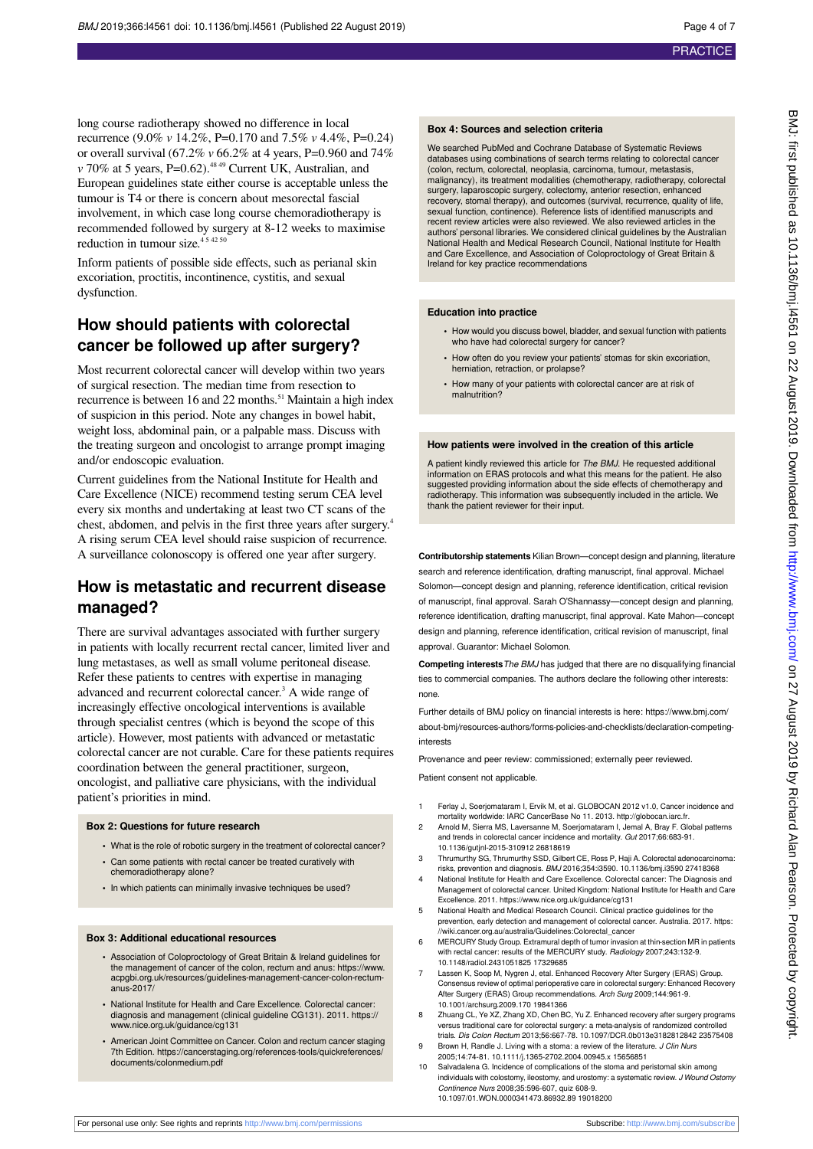long course radiotherapy showed no difference in local recurrence (9.0% *v* 14.2%, P=0.170 and 7.5% *v* 4.4%, P=0.24) or overall survival (67.2% *v* 66.2% at 4 years, P=0.960 and 74% *v* 70% at 5 years, P=0.62).<sup>48 49</sup> Current UK, Australian, and European guidelines state either course is acceptable unless the tumour is T4 or there is concern about mesorectal fascial involvement, in which case long course chemoradiotherapy is recommended followed by surgery at 8-12 weeks to maximise reduction in tumour size.<sup>454250</sup>

Inform patients of possible side effects, such as perianal skin excoriation, proctitis, incontinence, cystitis, and sexual dysfunction.

### **How should patients with colorectal cancer be followed up after surgery?**

Most recurrent colorectal cancer will develop within two years of surgical resection. The median time from resection to recurrence is between 16 and 22 months.<sup>51</sup> Maintain a high index of suspicion in this period. Note any changes in bowel habit, weight loss, abdominal pain, or a palpable mass. Discuss with the treating surgeon and oncologist to arrange prompt imaging and/or endoscopic evaluation.

Current guidelines from the National Institute for Health and Care Excellence (NICE) recommend testing serum CEA level every six months and undertaking at least two CT scans of the chest, abdomen, and pelvis in the first three years after surgery.<sup>4</sup> A rising serum CEA level should raise suspicion of recurrence. A surveillance colonoscopy is offered one year after surgery.

## **How is metastatic and recurrent disease managed?**

There are survival advantages associated with further surgery in patients with locally recurrent rectal cancer, limited liver and lung metastases, as well as small volume peritoneal disease. Refer these patients to centres with expertise in managing advanced and recurrent colorectal cancer.<sup>3</sup> A wide range of increasingly effective oncological interventions is available through specialist centres (which is beyond the scope of this article). However, most patients with advanced or metastatic colorectal cancer are not curable. Care for these patients requires coordination between the general practitioner, surgeon, oncologist, and palliative care physicians, with the individual patient's priorities in mind.

#### **Box 2: Questions for future research**

- **•** What is the role of robotic surgery in the treatment of colorectal cancer?
- **•** Can some patients with rectal cancer be treated curatively with chemoradiotherapy alone?
- **•** In which patients can minimally invasive techniques be used?

#### **Box 3: Additional educational resources**

- **•** Association of Coloproctology of Great Britain & Ireland guidelines for the management of cancer of the colon, rectum and anus: https://www. acpgbi.org.uk/resources/guidelines-management-cancer-colon-rectum $anus-2017$
- **•** National Institute for Health and Care Excellence. Colorectal cancer: diagnosis and management (clinical guideline CG131). 2011. https:// www.nice.org.uk/guidance/cg131
- **•** American Joint Committee on Cancer. Colon and rectum cancer staging 7th Edition. https://cancerstaging.org/references-tools/quickreferences/ documents/colonmedium.pdf

#### **Box 4: Sources and selection criteria**

We searched PubMed and Cochrane Database of Systematic Reviews databases using combinations of search terms relating to colorectal cancer (colon, rectum, colorectal, neoplasia, carcinoma, tumour, metastasis, malignancy), its treatment modalities (chemotherapy, radiotherapy, colorectal surgery, laparoscopic surgery, colectomy, anterior resection, enhanced recovery, stomal therapy), and outcomes (survival, recurrence, quality of life, sexual function, continence). Reference lists of identified manuscripts and recent review articles were also reviewed. We also reviewed articles in the authors' personal libraries. We considered clinical guidelines by the Australian National Health and Medical Research Council, National Institute for Health and Care Excellence, and Association of Coloproctology of Great Britain & Ireland for key practice recommendations

#### **Education into practice**

- **•** How would you discuss bowel, bladder, and sexual function with patients who have had colorectal surgery for cancer?
- **•** How often do you review your patients' stomas for skin excoriation, herniation, retraction, or prolapse?
- **•** How many of your patients with colorectal cancer are at risk of malnutrition?

#### **How patients were involved in the creation of this article**

A patient kindly reviewed this article for The BMJ. He requested additional information on ERAS protocols and what this means for the patient. He also suggested providing information about the side effects of chemotherapy and radiotherapy. This information was subsequently included in the article. We thank the patient reviewer for their input.

**Contributorship statements** Kilian Brown—concept design and planning, literature search and reference identification, drafting manuscript, final approval. Michael Solomon—concept design and planning, reference identification, critical revision of manuscript, final approval. Sarah O'Shannassy—concept design and planning, reference identification, drafting manuscript, final approval. Kate Mahon—concept design and planning, reference identification, critical revision of manuscript, final approval. Guarantor: Michael Solomon.

**Competing interests** The BMJ has judged that there are no disqualifying financial ties to commercial companies. The authors declare the following other interests: none.

Further details of BMJ policy on financial interests is here: https://www.bmj.com/ about-bmj/resources-authors/forms-policies-and-checklists/declaration-competinginterests

Provenance and peer review: commissioned; externally peer reviewed.

Patient consent not applicable.

- 1 Ferlay J, Soerjomataram I, Ervik M, et al. GLOBOCAN 2012 v1.0, Cancer incidence and mortality worldwide: IARC CancerBase No 11. 2013. [http://globocan.iarc.fr.](http://globocan.iarc.fr)
- 2 Arnold M, Sierra MS, Laversanne M, Soerjomataram I, Jemal A, Bray F. Global patterns and trends in colorectal cancer incidence and mortality. Gut 2017;66:683-91. 10.1136/gutjnl-2015-310912 26818619
- 3 Thrumurthy SG, Thrumurthy SSD, Gilbert CE, Ross P, Haji A. Colorectal adenocarcinoma: risks, prevention and diagnosis. BMJ 2016;354:i3590. 10.1136/bmj.i3590 27418368
- 4 National Institute for Health and Care Excellence. Colorectal cancer: The Diagnosis and Management of colorectal cancer. United Kingdom: National Institute for Health and Care Excellence. 2011. https://www.nice.org.uk/guidance/cg131
- 5 National Health and Medical Research Council. Clinical practice guidelines for the prevention, early detection and management of colorectal cancer. Australia. 2017. https: //wiki.cancer.org.au/australia/Guidelines:Colorectal\_cancer
- 6 MERCURY Study Group. Extramural depth of tumor invasion at thin-section MR in patients with rectal cancer: results of the MERCURY study. Radiology 2007;243:132-9. 10.1148/radiol.2431051825 17329685
- 7 Lassen K, Soop M, Nygren J, etal. Enhanced Recovery After Surgery (ERAS) Group. Consensus review of optimal perioperative care in colorectal surgery: Enhanced Recovery After Surgery (ERAS) Group recommendations. Arch Surg 2009;144:961-9. 10.1001/archsurg.2009.170 19841366
- Zhuang CL, Ye XZ, Zhang XD, Chen BC, Yu Z. Enhanced recovery after surgery programs versus traditional care for colorectal surgery: a meta-analysis of randomized controlled trials. Dis Colon Rectum 2013;56:667-78. 10.1097/DCR.0b013e3182812842 23575408
- 9 Brown H, Randle J. Living with a stoma: a review of the literature. J Clin Nurs 2005;14:74-81. 10.1111/j.1365-2702.2004.00945.x 15656851
- 10 Salvadalena G. Incidence of complications of the stoma and peristomal skin among individuals with colostomy, ileostomy, and urostomy: a systematic review. J Wound Ostomy Continence Nurs 2008;35:596-607, quiz 608-9. 10.1097/01.WON.0000341473.86932.89 19018200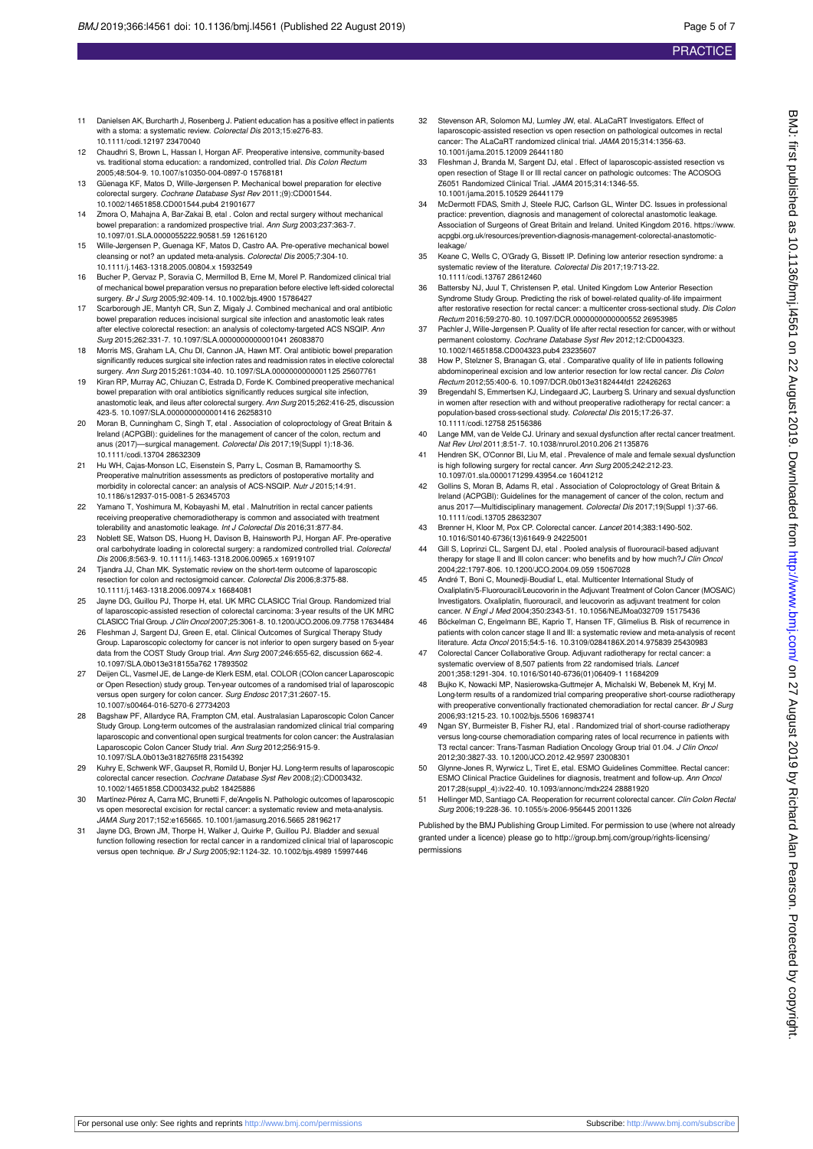- 11 Danielsen AK, Burcharth J, Rosenberg J. Patient education has a positive effect in patients with a stoma: a systematic review. Colorectal Dis 2013:15:e276-83 10.1111/codi.12197 23470040
- 12 Chaudhri S, Brown L, Hassan I, Horgan AF. Preoperative intensive, community-based vs. traditional stoma education: a randomized, controlled trial. Dis Colon Rectum 2005;48:504-9. 10.1007/s10350-004-0897-0 15768181
- 13 Güenaga KF, Matos D, Wille-Jørgensen P. Mechanical bowel preparation for elective colorectal surgery. Cochrane Database Syst Rev 2011;(9):CD001544. 10.1002/14651858.CD001544.pub4 21901677
- 14 Zmora O, Mahajna A, Bar-Zakai B, etal . Colon and rectal surgery without mechanical bowel preparation: a randomized prospective trial. Ann Surg 2003;237:363-7. 10.1097/01.SLA.0000055222.90581.59 12616120
- 15 Wille-Jørgensen P, Guenaga KF, Matos D, Castro AA. Pre-operative mechanical bowel cleansing or not? an updated meta-analysis. Colorectal Dis 2005;7:304-10. 10.1111/j.1463-1318.2005.00804.x 15932549
- 16 Bucher P, Gervaz P, Soravia C, Mermillod B, Erne M, Morel P. Randomized clinical trial of mechanical bowel preparation versus no preparation before elective left-sided colorectal surgery. Br J Surg 2005;92:409-14. 10.1002/bjs.4900 15786427
- 17 Scarborough JE, Mantyh CR, Sun Z, Migaly J. Combined mechanical and oral antibiotic bowel preparation reduces incisional surgical site infection and anastomotic leak rates after elective colorectal resection: an analysis of colectomy-targeted ACS NSQIP. Ann Surg 2015;262:331-7. 10.1097/SLA.0000000000001041 26083870
- 18 Morris MS, Graham LA, Chu DI, Cannon JA, Hawn MT. Oral antibiotic bowel preparation significantly reduces surgical site infection rates and readmission rates in elective colorectal surgery. Ann Surg 2015;261:1034-40. 10.1097/SLA.0000000000001125 25607761
- 19 Kiran RP, Murray AC, Chiuzan C, Estrada D, Forde K. Combined preoperative mechanical bowel preparation with oral antibiotics significantly reduces surgical site infection. anastomotic leak, and ileus after colorectal surgery. Ann Surg 2015;262:416-25, discussion 423-5. 10.1097/SLA.0000000000001416 26258310
- 20 Moran B, Cunningham C, Singh T, etal . Association of coloproctology of Great Britain & Ireland (ACPGBI): guidelines for the management of cancer of the colon, rectum and anus (2017)—surgical management. Colorectal Dis 2017;19(Suppl 1):18-36. 10.1111/codi.13704 28632309
- 21 Hu WH, Cajas-Monson LC, Eisenstein S, Parry L, Cosman B, Ramamoorthy S. Preoperative malnutrition assessments as predictors of postoperative mortality and morbidity in colorectal cancer: an analysis of ACS-NSQIP. Nutr J 2015;14:91. 10.1186/s12937-015-0081-5 26345703
- 22 Yamano T, Yoshimura M, Kobayashi M, etal . Malnutrition in rectal cancer patients receiving preoperative chemoradiotherapy is common and associated with treatment tolerability and anastomotic leakage. Int J Colorectal Dis 2016;31:877-84
- 23 Noblett SE, Watson DS, Huong H, Davison B, Hainsworth PJ, Horgan AF. Pre-operative<br>oral carbohydrate loading in colorectal surgery: a randomized controlled trial. Colorectal Dis 2006;8:563-9. 10.1111/j.1463-1318.2006.00965.x 16919107
- 24 Tjandra JJ, Chan MK. Systematic review on the short-term outcome of laparoscopic resection for colon and rectosigmoid cancer. Colorectal Dis 2006;8:375-88. 10.1111/j.1463-1318.2006.00974.x 16684081
- 25 Jayne DG, Guillou PJ, Thorpe H, etal. UK MRC CLASICC Trial Group. Randomized trial of laparoscopic-assisted resection of colorectal carcinoma: 3-year results of the UK MRC CLASICC Trial Group. J Clin Oncol 2007;25:3061-8. 10.1200/JCO.2006.09.7758 17634484
- 26 Fleshman J, Sargent DJ, Green E, etal. Clinical Outcomes of Surgical Therapy Study Group. Laparoscopic colectomy for cancer is not inferior to open surgery based on 5-year data from the COST Study Group trial. Ann Surg 2007;246:655-62, discussion 662-4. 10.1097/SLA.0b013e318155a762 17893502
- 27 Deijen CL, Vasmel JE, de Lange-de Klerk ESM, etal. COLOR (COlon cancer Laparoscopic or Open Resection) study group. Ten-year outcomes of a randomised trial of laparoscopic versus open surgery for colon cancer. Surg Endosc 2017;31:2607-15. 10.1007/s00464-016-5270-6 27734203
- 28 Bagshaw PF, Allardyce RA, Frampton CM, etal. Australasian Laparoscopic Colon Cancer Study Group. Long-term outcomes of the australasian randomized clinical trial comparing laparoscopic and conventional open surgical treatments for colon cancer: the Australasian Laparoscopic Colon Cancer Study trial. Ann Surg 2012;256:915-9. 10.1097/SLA.0b013e3182765ff8 23154392
- 29 Kuhry E, Schwenk WF, Gaupset R, Romild U, Bonjer HJ. Long-term results of laparoscopic colorectal cancer resection. Cochrane Database Syst Rev 2008;(2):CD003432. 10.1002/14651858.CD003432.pub2 18425886
- 30 Martínez-Pérez A, Carra MC, Brunetti F, de'Angelis N. Pathologic outcomes of laparoscopic vs open mesorectal excision for rectal cancer: a systematic review and meta-analysis. JAMA Surg 2017;152:e165665. 10.1001/jamasurg.2016.5665 28196217
- Jayne DG, Brown JM, Thorpe H, Walker J, Quirke P, Guillou PJ. Bladder and sexual function following resection for rectal cancer in a randomized clinical trial of laparoscopic<br>versus open technique. *Br J Surg* 2005;92:1124-32. 10.1002/bjs.4989 15997446
- 32 Stevenson AR, Solomon MJ, Lumley JW, etal. ALaCaRT Investigators. Effect of laparoscopic-assisted resection vs open resection on pathological outcomes in rectal cancer: The ALaCaRT randomized clinical trial. JAMA 2015;314:1356-63. 10.1001/jama.2015.12009 26441180
- 33 Fleshman J, Branda M, Sargent DJ, etal . Effect of laparoscopic-assisted resection vs open resection of Stage II or III rectal cancer on pathologic outcomes: The ACOSOG Z6051 Randomized Clinical Trial. JAMA 2015;314:1346-55. 10.1001/jama.2015.10529 26441179
- 34 McDermott FDAS, Smith J, Steele RJC, Carlson GL, Winter DC. Issues in professional practice: prevention, diagnosis and management of colorectal anastomotic leakage. .<br>Association of Surgeons of Great Britain and Ireland. United Kingdom 2016. https://www acpgbi.org.uk/resources/prevention-diagnosis-management-colorectal-anastomoticleakage
- 35 Keane C, Wells C, O'Grady G, Bissett IP. Defining low anterior resection syndrome: a systematic review of the literature. Colorectal Dis 2017;19:713-22. 10.1111/codi.13767 28612460
- 36 Battersby NJ, Juul T, Christensen P, etal. United Kingdom Low Anterior Resection Syndrome Study Group. Predicting the risk of bowel-related quality-of-life impairment after restorative resection for rectal cancer: a multicenter cross-sectional study. Dis Colon Rectum 2016;59:270-80. 10.1097/DCR.0000000000000552 26953985
- Pachler J, Wille-Jørgensen P. Quality of life after rectal resection for cancer, with or without manent colostomy. Cochrane Database Syst Rev 2012;12:CD004323. .<br>10.1002/14651858.CD004323.pub4.23235607
- 38 How P, Stelzner S, Branagan G, etal . Comparative quality of life in patients following abdominoperineal excision and low anterior resection for low rectal cancer. Dis Colon Rectum 2012;55:400-6. 10.1097/DCR.0b013e3182444fd1 22426263
- 39 Bregendahl S, Emmertsen KJ, Lindegaard JC, Laurberg S. Urinary and sexual dysfunction in women after resection with and without preoperative radiotherapy for rectal cancer: a population-based cross-sectional study. Colorectal Dis 2015;17:26-37. 10.1111/codi.12758 25156386
- 40 Lange MM, van de Velde CJ. Urinary and sexual dysfunction after rectal cancer treatment. Nat Rev Urol 2011;8:51-7. 10.1038/nrurol.2010.206 21135876
- 41 Hendren SK, O'Connor BI, Liu M, etal . Prevalence of male and female sexual dysfunction is high following surgery for rectal cancer. Ann Surg 2005;242:212-23. 10.1097/01.sla.0000171299.43954.ce 16041212
- Gollins S, Moran B, Adams R, etal . Association of Coloproctology of Great Britain & Ireland (ACPGBI): Guidelines for the management of cancer of the colon, rectum and<br>anus 2017—Multidisciplinary management. Colorectal Dis 2017;19(Suppl 1):37-66. 10.1111/codi.13705 28632307
- Brenner H, Kloor M, Pox CP. Colorectal cancer. Lancet 2014;383:1490-502. 10.1016/S0140-6736(13)61649-9 24225001
- 44 Gill S, Loprinzi CL, Sargent DJ, etal . Pooled analysis of fluorouracil-based adjuvant therapy for stage II and III colon cancer: who benefits and by how much? J Clin Oncol 2004;22:1797-806. 10.1200/JCO.2004.09.059 15067028
- 45 André T, Boni C, Mounedji-Boudiaf L, etal. Multicenter International Study of Oxaliplatin/5-Fluorouracil/Leucovorin in the Adjuvant Treatment of Colon Cancer (MOSAIC) Investigators. Oxaliplatin, fluorouracil, and leucovorin as adjuvant treatment for colon cancer. N Engl J Med 2004;350:2343-51. 10.1056/NEJMoa032709 15175436
- 46 Böckelman C, Engelmann BE, Kaprio T, Hansen TF, Glimelius B. Risk of recurrence in patients with colon cancer stage II and III: a systematic review and meta-analysis of recent literature. Acta Oncol 2015;54:5-16. 10.3109/0284186X.2014.975839 25430983
- 47 Colorectal Cancer Collaborative Group. Adjuvant radiotherapy for rectal cancer: a systematic overview of 8,507 patients from 22 randomised trials. Lancet 2001;358:1291-304. 10.1016/S0140-6736(01)06409-1 11684209
- 48 Bujko K, Nowacki MP, Nasierowska-Guttmejer A, Michalski W, Bebenek M, Kryj M. Long-term results of a randomized trial comparing preoperative short-course radiotherapy with preoperative conventionally fractionated chemoradiation for rectal cancer. Br J Surg 2006;93:1215-23. 10.1002/bjs.5506 16983741
- 49 Ngan SY, Burmeister B, Fisher RJ, etal . Randomized trial of short-course radiotherapy versus long-course chemoradiation comparing rates of local recurrence in patients with T3 rectal cancer: Trans-Tasman Radiation Oncology Group trial 01.04. J Clin Oncol 2012;30:3827-33. 10.1200/JCO.2012.42.9597 23008301
- 50 Glynne-Jones R, Wyrwicz L, Tiret E, etal. ESMO Guidelines Committee. Rectal cancer: ESMO Clinical Practice Guidelines for diagnosis, treatment and follow-up. Ann Oncol 2017;28(suppl\_4):iv22-40. 10.1093/annonc/mdx224 28881920
- 51 Hellinger MD, Santiago CA. Reoperation for recurrent colorectal cancer. Clin Colon Rectal Surg 2006;19:228-36. 10.1055/s-2006-956445 20011326

Published by the BMJ Publishing Group Limited. For permission to use (where not already granted under a licence) please go to [http://group.bmj.com/group/rights-licensing/](http://group.bmj.com/group/rights-licensing/permissions) [permissions](http://group.bmj.com/group/rights-licensing/permissions)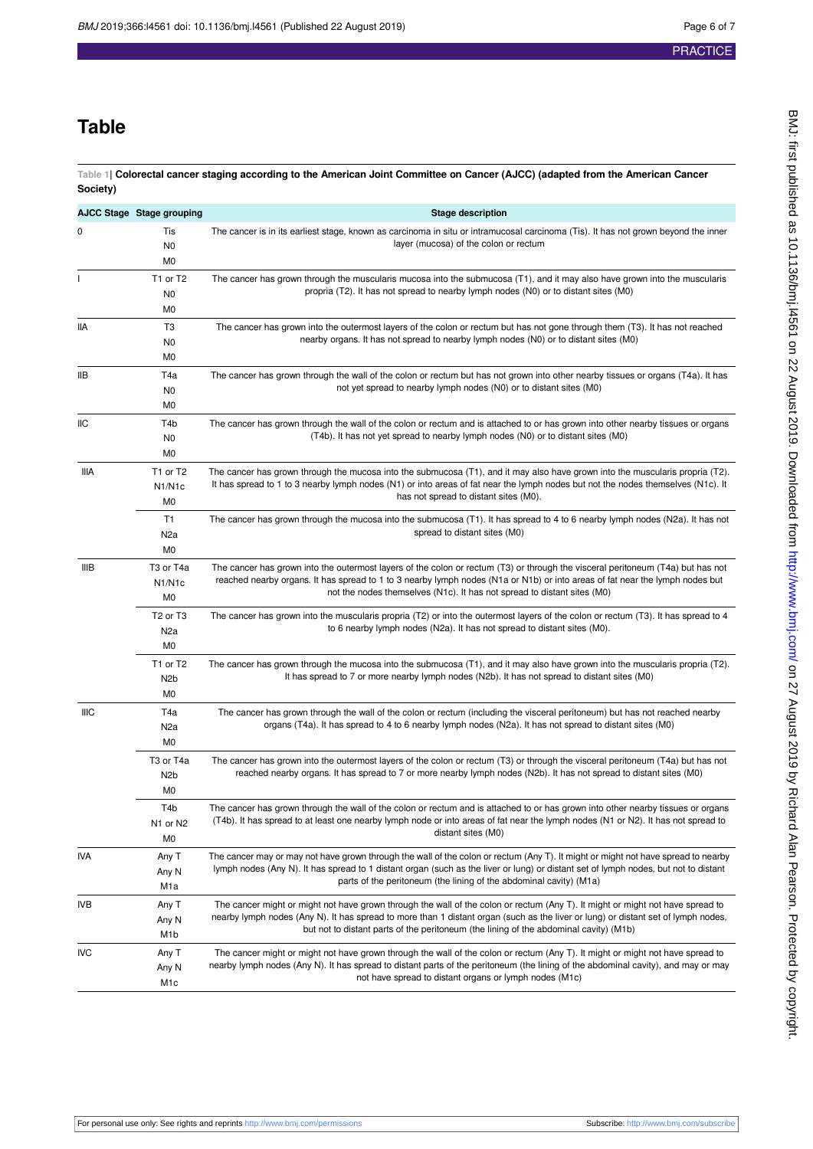## **Table**

<span id="page-5-0"></span>**Table 1| Colorectal cancer staging according to the American Joint Committee on Cancer (AJCC) (adapted from the American Cancer Society)**

|             | AJCC Stage Stage grouping                                              | <b>Stage description</b>                                                                                                                                                                                                                                                                                                                                             |
|-------------|------------------------------------------------------------------------|----------------------------------------------------------------------------------------------------------------------------------------------------------------------------------------------------------------------------------------------------------------------------------------------------------------------------------------------------------------------|
| 0           | Tis<br>N <sub>0</sub><br>M0                                            | The cancer is in its earliest stage, known as carcinoma in situ or intramucosal carcinoma (Tis). It has not grown beyond the inner<br>layer (mucosa) of the colon or rectum                                                                                                                                                                                          |
|             | T1 or T2<br>N <sub>0</sub><br>M0                                       | The cancer has grown through the muscularis mucosa into the submucosa (T1), and it may also have grown into the muscularis<br>propria (T2). It has not spread to nearby lymph nodes (N0) or to distant sites (M0)                                                                                                                                                    |
| lia         | T3<br>N <sub>0</sub><br>M0                                             | The cancer has grown into the outermost layers of the colon or rectum but has not gone through them (T3). It has not reached<br>nearby organs. It has not spread to nearby lymph nodes (N0) or to distant sites (M0)                                                                                                                                                 |
| IIВ         | T4a<br>N0<br>M <sub>0</sub>                                            | The cancer has grown through the wall of the colon or rectum but has not grown into other nearby tissues or organs (T4a). It has<br>not yet spread to nearby lymph nodes (N0) or to distant sites (M0)                                                                                                                                                               |
| IIC         | T4b<br>N0<br>M <sub>0</sub>                                            | The cancer has grown through the wall of the colon or rectum and is attached to or has grown into other nearby tissues or organs<br>(T4b). It has not yet spread to nearby lymph nodes (N0) or to distant sites (M0)                                                                                                                                                 |
| iiia        | T1 or T2<br>N <sub>1</sub> /N <sub>1</sub> c<br>M <sub>0</sub>         | The cancer has grown through the mucosa into the submucosa (T1), and it may also have grown into the muscularis propria (T2).<br>It has spread to 1 to 3 nearby lymph nodes (N1) or into areas of fat near the lymph nodes but not the nodes themselves (N1c). It<br>has not spread to distant sites (M0).                                                           |
|             | T1<br>N <sub>2</sub> a<br>M <sub>0</sub>                               | The cancer has grown through the mucosa into the submucosa (T1). It has spread to 4 to 6 nearby lymph nodes (N2a). It has not<br>spread to distant sites (M0)                                                                                                                                                                                                        |
| <b>IIIB</b> | T3 or T4a<br>N <sub>1</sub> /N <sub>1</sub> c<br>M <sub>0</sub>        | The cancer has grown into the outermost layers of the colon or rectum (T3) or through the visceral peritoneum (T4a) but has not<br>reached nearby organs. It has spread to 1 to 3 nearby lymph nodes (N1a or N1b) or into areas of fat near the lymph nodes but<br>not the nodes themselves (N <sub>1c</sub> ). It has not spread to distant sites (M <sub>0</sub> ) |
|             | T <sub>2</sub> or T <sub>3</sub><br>N <sub>2</sub> a<br>M <sub>0</sub> | The cancer has grown into the muscularis propria (T2) or into the outermost layers of the colon or rectum (T3). It has spread to 4<br>to 6 nearby lymph nodes (N2a). It has not spread to distant sites (M0).                                                                                                                                                        |
|             | T1 or T2<br>N <sub>2</sub> b<br>M <sub>0</sub>                         | The cancer has grown through the mucosa into the submucosa (T1), and it may also have grown into the muscularis propria (T2).<br>It has spread to 7 or more nearby lymph nodes (N2b). It has not spread to distant sites (M0)                                                                                                                                        |
| <b>IIIC</b> | T4a<br>N <sub>2</sub> a<br>M <sub>0</sub>                              | The cancer has grown through the wall of the colon or rectum (including the visceral peritoneum) but has not reached nearby<br>organs (T4a). It has spread to 4 to 6 nearby lymph nodes (N2a). It has not spread to distant sites (M0)                                                                                                                               |
|             | T3 or T4a<br>N <sub>2</sub> b<br>M <sub>0</sub>                        | The cancer has grown into the outermost layers of the colon or rectum (T3) or through the visceral peritoneum (T4a) but has not<br>reached nearby organs. It has spread to 7 or more nearby lymph nodes (N2b). It has not spread to distant sites (M0)                                                                                                               |
|             | T <sub>4</sub> b<br>N1 or N2<br>M0                                     | The cancer has grown through the wall of the colon or rectum and is attached to or has grown into other nearby tissues or organs<br>(T4b). It has spread to at least one nearby lymph node or into areas of fat near the lymph nodes (N1 or N2). It has not spread to<br>distant sites (M0)                                                                          |
| IVA         | Any T<br>Any N<br>M <sub>1</sub> a                                     | The cancer may or may not have grown through the wall of the colon or rectum (Any T). It might or might not have spread to nearby<br>lymph nodes (Any N). It has spread to 1 distant organ (such as the liver or lung) or distant set of lymph nodes, but not to distant<br>parts of the peritoneum (the lining of the abdominal cavity) (M1a)                       |
| <b>IVB</b>  | Any T<br>Any N<br>M <sub>1</sub> b                                     | The cancer might or might not have grown through the wall of the colon or rectum (Any T). It might or might not have spread to<br>nearby lymph nodes (Any N). It has spread to more than 1 distant organ (such as the liver or lung) or distant set of lymph nodes,<br>but not to distant parts of the peritoneum (the lining of the abdominal cavity) (M1b)         |
| <b>IVC</b>  | Any T<br>Any N<br>M1c                                                  | The cancer might or might not have grown through the wall of the colon or rectum (Any T). It might or might not have spread to<br>nearby lymph nodes (Any N). It has spread to distant parts of the peritoneum (the lining of the abdominal cavity), and may or may<br>not have spread to distant organs or lymph nodes (M1c)                                        |